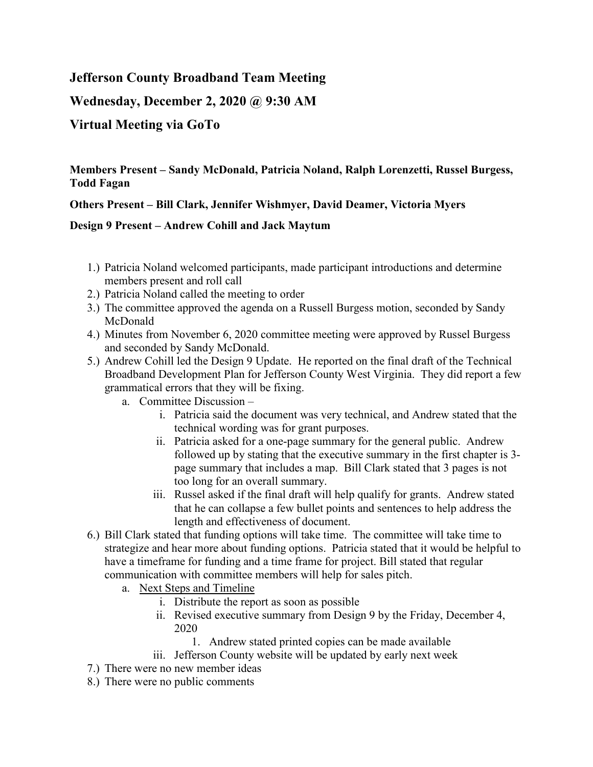# **Jefferson County Broadband Team Meeting**

**Wednesday, December 2, 2020 @ 9:30 AM**

# **Virtual Meeting via GoTo**

## **Members Present – Sandy McDonald, Patricia Noland, Ralph Lorenzetti, Russel Burgess, Todd Fagan**

### **Others Present – Bill Clark, Jennifer Wishmyer, David Deamer, Victoria Myers**

### **Design 9 Present – Andrew Cohill and Jack Maytum**

- 1.) Patricia Noland welcomed participants, made participant introductions and determine members present and roll call
- 2.) Patricia Noland called the meeting to order
- 3.) The committee approved the agenda on a Russell Burgess motion, seconded by Sandy McDonald
- 4.) Minutes from November 6, 2020 committee meeting were approved by Russel Burgess and seconded by Sandy McDonald.
- 5.) Andrew Cohill led the Design 9 Update. He reported on the final draft of the Technical Broadband Development Plan for Jefferson County West Virginia. They did report a few grammatical errors that they will be fixing.
	- a. Committee Discussion
		- i. Patricia said the document was very technical, and Andrew stated that the technical wording was for grant purposes.
		- ii. Patricia asked for a one-page summary for the general public. Andrew followed up by stating that the executive summary in the first chapter is 3 page summary that includes a map. Bill Clark stated that 3 pages is not too long for an overall summary.
		- iii. Russel asked if the final draft will help qualify for grants. Andrew stated that he can collapse a few bullet points and sentences to help address the length and effectiveness of document.
- 6.) Bill Clark stated that funding options will take time. The committee will take time to strategize and hear more about funding options. Patricia stated that it would be helpful to have a timeframe for funding and a time frame for project. Bill stated that regular communication with committee members will help for sales pitch.
	- a. Next Steps and Timeline
		- i. Distribute the report as soon as possible
		- ii. Revised executive summary from Design 9 by the Friday, December 4, 2020
			- 1. Andrew stated printed copies can be made available
		- iii. Jefferson County website will be updated by early next week
- 7.) There were no new member ideas
- 8.) There were no public comments